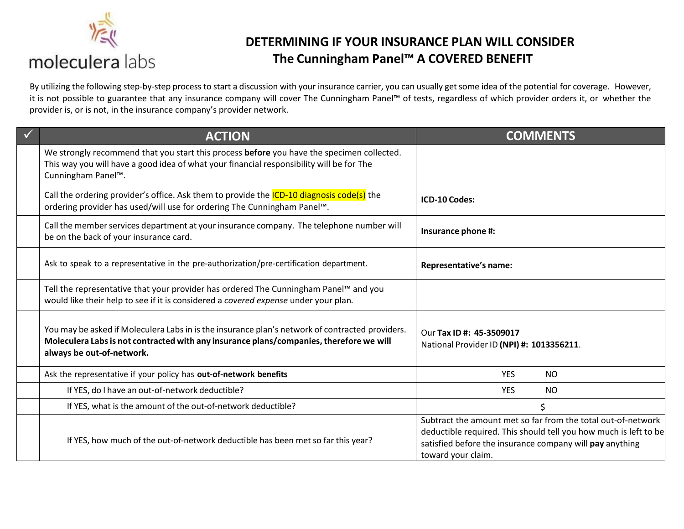

## **DETERMINING IF YOUR INSURANCE PLAN WILL CONSIDER The Cunningham Panel™ A COVERED BENEFIT**

By utilizing the following step-by-step process to start a discussion with your insurance carrier, you can usually get some idea of the potential for coverage. However, it is not possible to guarantee that any insurance company will cover The Cunningham Panel™ of tests, regardless of which provider orders it, or whether the provider is, or is not, in the insurance company's provider network.

| $\checkmark$ | <b>ACTION</b>                                                                                                                                                                                                            | <b>COMMENTS</b>                                                                                                                                                                                                    |
|--------------|--------------------------------------------------------------------------------------------------------------------------------------------------------------------------------------------------------------------------|--------------------------------------------------------------------------------------------------------------------------------------------------------------------------------------------------------------------|
|              | We strongly recommend that you start this process before you have the specimen collected.<br>This way you will have a good idea of what your financial responsibility will be for The<br>Cunningham Panel <sup>™</sup> . |                                                                                                                                                                                                                    |
|              | Call the ordering provider's office. Ask them to provide the <b>ICD-10 diagnosis code(s)</b> the<br>ordering provider has used/will use for ordering The Cunningham Panel™.                                              | ICD-10 Codes:                                                                                                                                                                                                      |
|              | Call the member services department at your insurance company. The telephone number will<br>be on the back of your insurance card.                                                                                       | Insurance phone #:                                                                                                                                                                                                 |
|              | Ask to speak to a representative in the pre-authorization/pre-certification department.                                                                                                                                  | <b>Representative's name:</b>                                                                                                                                                                                      |
|              | Tell the representative that your provider has ordered The Cunningham Panel™ and you<br>would like their help to see if it is considered a covered expense under your plan.                                              |                                                                                                                                                                                                                    |
|              | You may be asked if Moleculera Labs in is the insurance plan's network of contracted providers.<br>Moleculera Labs is not contracted with any insurance plans/companies, therefore we will<br>always be out-of-network.  | Our Tax ID #: 45-3509017<br>National Provider ID (NPI) #: 1013356211.                                                                                                                                              |
|              | Ask the representative if your policy has out-of-network benefits                                                                                                                                                        | <b>YES</b><br>NO.                                                                                                                                                                                                  |
|              | If YES, do I have an out-of-network deductible?                                                                                                                                                                          | <b>YES</b><br>NO.                                                                                                                                                                                                  |
|              | If YES, what is the amount of the out-of-network deductible?                                                                                                                                                             | Ś                                                                                                                                                                                                                  |
|              | If YES, how much of the out-of-network deductible has been met so far this year?                                                                                                                                         | Subtract the amount met so far from the total out-of-network<br>deductible required. This should tell you how much is left to be<br>satisfied before the insurance company will pay anything<br>toward your claim. |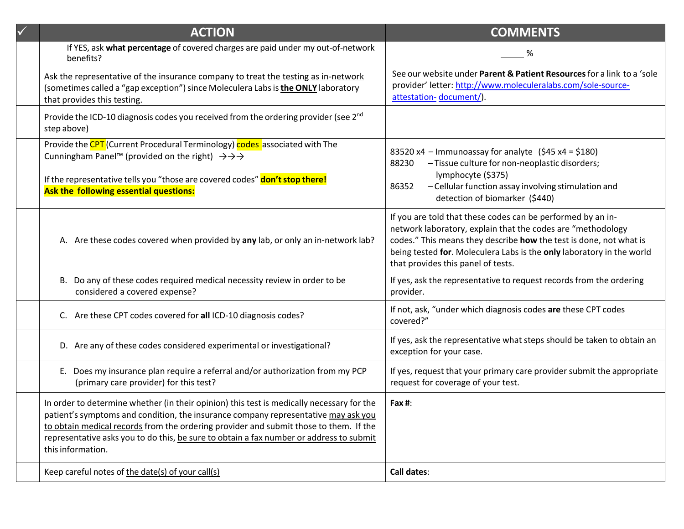| <b>ACTION</b>                                                                                                                                                                                                                                                                                                                                                                            | <b>COMMENTS</b>                                                                                                                                                                                                                                                                                                 |
|------------------------------------------------------------------------------------------------------------------------------------------------------------------------------------------------------------------------------------------------------------------------------------------------------------------------------------------------------------------------------------------|-----------------------------------------------------------------------------------------------------------------------------------------------------------------------------------------------------------------------------------------------------------------------------------------------------------------|
| If YES, ask what percentage of covered charges are paid under my out-of-network<br>benefits?                                                                                                                                                                                                                                                                                             | %                                                                                                                                                                                                                                                                                                               |
| Ask the representative of the insurance company to treat the testing as in-network<br>(sometimes called a "gap exception") since Moleculera Labs is the ONLY laboratory<br>that provides this testing.                                                                                                                                                                                   | See our website under Parent & Patient Resources for a link to a 'sole<br>provider' letter: http://www.moleculeralabs.com/sole-source-<br>attestation-document/).                                                                                                                                               |
| Provide the ICD-10 diagnosis codes you received from the ordering provider (see 2 <sup>nd</sup><br>step above)                                                                                                                                                                                                                                                                           |                                                                                                                                                                                                                                                                                                                 |
| Provide the CPT (Current Procedural Terminology) codes associated with The<br>Cunningham Panel <sup>™</sup> (provided on the right) $\rightarrow \rightarrow \rightarrow$<br>If the representative tells you "those are covered codes" don't stop there!<br>Ask the following essential questions:                                                                                       | 83520 x4 - Immunoassay for analyte $(545 x4 = 180)$<br>- Tissue culture for non-neoplastic disorders;<br>88230<br>lymphocyte (\$375)<br>- Cellular function assay involving stimulation and<br>86352<br>detection of biomarker (\$440)                                                                          |
| A. Are these codes covered when provided by any lab, or only an in-network lab?                                                                                                                                                                                                                                                                                                          | If you are told that these codes can be performed by an in-<br>network laboratory, explain that the codes are "methodology<br>codes." This means they describe how the test is done, not what is<br>being tested for. Moleculera Labs is the only laboratory in the world<br>that provides this panel of tests. |
| B. Do any of these codes required medical necessity review in order to be<br>considered a covered expense?                                                                                                                                                                                                                                                                               | If yes, ask the representative to request records from the ordering<br>provider.                                                                                                                                                                                                                                |
| C. Are these CPT codes covered for all ICD-10 diagnosis codes?                                                                                                                                                                                                                                                                                                                           | If not, ask, "under which diagnosis codes are these CPT codes<br>covered?"                                                                                                                                                                                                                                      |
| D. Are any of these codes considered experimental or investigational?                                                                                                                                                                                                                                                                                                                    | If yes, ask the representative what steps should be taken to obtain an<br>exception for your case.                                                                                                                                                                                                              |
| E. Does my insurance plan require a referral and/or authorization from my PCP<br>(primary care provider) for this test?                                                                                                                                                                                                                                                                  | If yes, request that your primary care provider submit the appropriate<br>request for coverage of your test.                                                                                                                                                                                                    |
| In order to determine whether (in their opinion) this test is medically necessary for the<br>patient's symptoms and condition, the insurance company representative may ask you<br>to obtain medical records from the ordering provider and submit those to them. If the<br>representative asks you to do this, be sure to obtain a fax number or address to submit<br>this information. | Fax $#$ :                                                                                                                                                                                                                                                                                                       |
| Keep careful notes of the date(s) of your call(s)                                                                                                                                                                                                                                                                                                                                        | <b>Call dates:</b>                                                                                                                                                                                                                                                                                              |